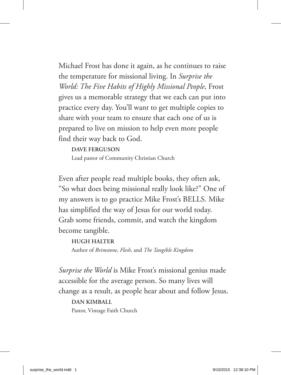Michael Frost has done it again, as he continues to raise the temperature for missional living. In *Surprise the World: The Five Habits of Highly Missional People*, Frost gives us a memorable strategy that we each can put into practice every day. You'll want to get multiple copies to share with your team to ensure that each one of us is prepared to live on mission to help even more people find their way back to God.

### **DAVE FERGUSON**

Lead pastor of Community Christian Church

Even after people read multiple books, they often ask, "So what does being missional really look like?" One of my answers is to go practice Mike Frost's BELLS. Mike has simplified the way of Jesus for our world today. Grab some friends, commit, and watch the kingdom become tangible.

#### **HUGH HALTER**

Author of *Brimstone*, *Flesh*, and *The Tangible Kingdom*

*Surprise the World* is Mike Frost's missional genius made accessible for the average person. So many lives will change as a result, as people hear about and follow Jesus.

#### **DAN KIMBALL**

Pastor, Vintage Faith Church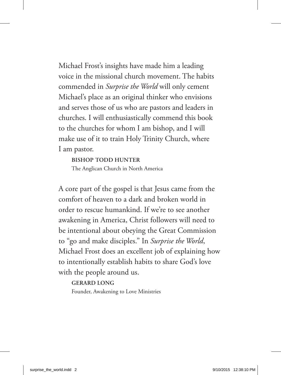Michael Frost's insights have made him a leading voice in the missional church movement. The habits commended in *Surprise the World* will only cement Michael's place as an original thinker who envisions and serves those of us who are pastors and leaders in churches. I will enthusiastically commend this book to the churches for whom I am bishop, and I will make use of it to train Holy Trinity Church, where I am pastor.

**BISHOP TODD HUNTER** The Anglican Church in North America

A core part of the gospel is that Jesus came from the comfort of heaven to a dark and broken world in order to rescue humankind. If we're to see another awakening in America, Christ followers will need to be intentional about obeying the Great Commission to "go and make disciples." In *Surprise the World*, Michael Frost does an excellent job of explaining how to intentionally establish habits to share God's love with the people around us.

### **GERARD LONG**

Founder, Awakening to Love Ministries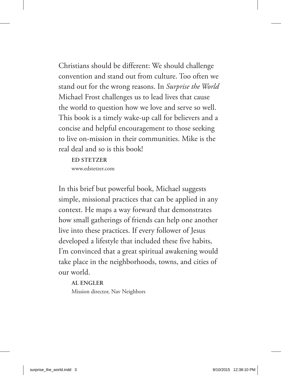Christians should be different: We should challenge convention and stand out from culture. Too often we stand out for the wrong reasons. In *Surprise the World* Michael Frost challenges us to lead lives that cause the world to question how we love and serve so well. This book is a timely wake-up call for believers and a concise and helpful encouragement to those seeking to live on-mission in their communities. Mike is the real deal and so is this book!

**ED STETZER** www.edstetzer.com

In this brief but powerful book, Michael suggests simple, missional practices that can be applied in any context. He maps a way forward that demonstrates how small gatherings of friends can help one another live into these practices. If every follower of Jesus developed a lifestyle that included these five habits, I'm convinced that a great spiritual awakening would take place in the neighborhoods, towns, and cities of our world.

**AL ENGLER** Mission director, Nav Neighbors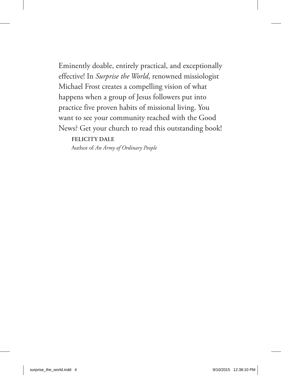Eminently doable, entirely practical, and exceptionally effective! In *Surprise the World*, renowned missiologist Michael Frost creates a compelling vision of what happens when a group of Jesus followers put into practice five proven habits of missional living. You want to see your community reached with the Good News? Get your church to read this outstanding book!

**FELICITY DALE**

Author of *An Army of Ordinary People*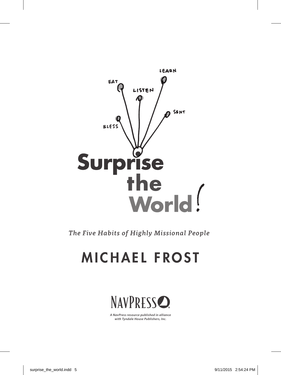

*The Five Habits of Highly Missional People*

# MICHAEL FROST



*A NavPress resource published in alliance with Tyndale House Publishers, Inc.*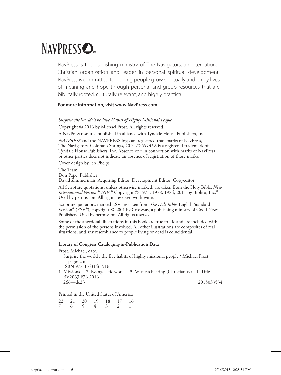# NAVPRESS**O**.

NavPress is the publishing ministry of The Navigators, an international Christian organization and leader in personal spiritual development. NavPress is committed to helping people grow spiritually and enjoy lives of meaning and hope through personal and group resources that are biblically rooted, culturally relevant, and highly practical.

#### **For more information, visit www.NavPress.com.**

#### *Surprise the World: The Five Habits of Highly Missional People*

Copyright © 2016 by Michael Frost. All rights reserved.

A NavPress resource published in alliance with Tyndale House Publishers, Inc.

*NAVPRESS* and the NAVPRESS logo are registered trademarks of NavPress, The Navigators, Colorado Springs, CO. *TYNDALE* is a registered trademark of Tyndale House Publishers, Inc. Absence of ® in connection with marks of NavPress or other parties does not indicate an absence of registration of those marks.

Cover design by Jen Phelps

The Team:

Don Pape, Publisher

David Zimmerman, Acquiring Editor, Development Editor, Copyeditor

All Scripture quotations, unless otherwise marked, are taken from the Holy Bible, *New International Version*, ® *NIV*. ® Copyright © 1973, 1978, 1984, 2011 by Biblica, Inc.® Used by permission. All rights reserved worldwide.

Scripture quotations marked ESV are taken from *The Holy Bible*, English Standard Version® (ESV®), copyright © 2001 by Crossway, a publishing ministry of Good News Publishers. Used by permission. All rights reserved.

Some of the anecdotal illustrations in this book are true to life and are included with the permission of the persons involved. All other illustrations are composites of real situations, and any resemblance to people living or dead is coincidental.

#### **Library of Congress Cataloging-in-Publication Data**

Frost, Michael, date. Surprise the world : the five habits of highly missional people / Michael Frost. pages cm ISBN 978-1-63146-516-1 1. Missions. 2. Evangelistic work. 3. Witness bearing (Christianity) I. Title. BV2063.F76 2016<br>266—dc23 266—dc23 2015033534

Printed in the United States of America

|  |  | 22 21 20 19 18 17 16 |  |
|--|--|----------------------|--|
|  |  | 7 6 5 4 3 2 1        |  |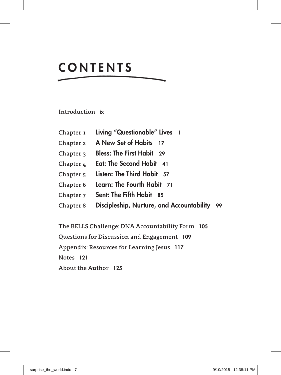# CONTENTS

Introduction ix

| Chapter 1            | Living "Questionable" Lives 1                |  |
|----------------------|----------------------------------------------|--|
| Chapter 2            | A New Set of Habits 17                       |  |
| Chapter 3            | <b>Bless: The First Habit 29</b>             |  |
| Chapter 4            | Eat: The Second Habit 41                     |  |
| Chapter <sub>5</sub> | Listen: The Third Habit 57                   |  |
| Chapter <sub>6</sub> | Learn: The Fourth Habit 71                   |  |
| Chapter 7            | <b>Sent: The Fifth Habit</b><br>85           |  |
| Chapter 8            | Discipleship, Nurture, and Accountability 99 |  |

The BELLS Challenge: DNA Accountability Form 105 Questions for Discussion and Engagement 109 Appendix: Resources for Learning Jesus 117 Notes 121 About the Author 125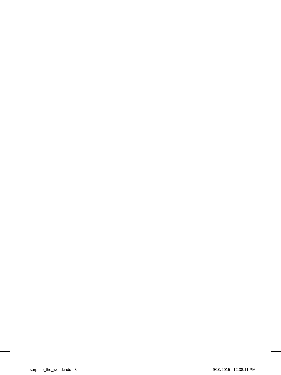J

J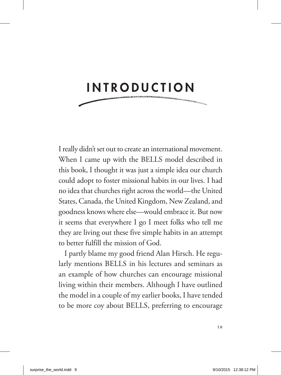# INTRODUCTION

I really didn't set out to create an international movement. When I came up with the BELLS model described in this book, I thought it was just a simple idea our church could adopt to foster missional habits in our lives. I had no idea that churches right across the world— the United States, Canada, the United Kingdom, New Zealand, and goodness knows where else—would embrace it. But now it seems that everywhere I go I meet folks who tell me they are living out these five simple habits in an attempt to better fulfill the mission of God.

I partly blame my good friend Alan Hirsch. He regularly mentions BELLS in his lectures and seminars as an example of how churches can encourage missional living within their members. Although I have outlined the model in a couple of my earlier books, I have tended to be more coy about BELLS, preferring to encourage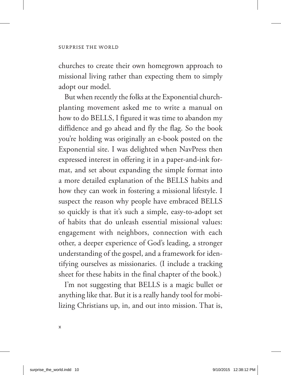churches to create their own homegrown approach to missional living rather than expecting them to simply adopt our model.

But when recently the folks at the Exponential churchplanting movement asked me to write a manual on how to do BELLS, I figured it was time to abandon my diffidence and go ahead and fly the flag. So the book you're holding was originally an e-book posted on the Exponential site. I was delighted when NavPress then expressed interest in offering it in a paper-and-ink format, and set about expanding the simple format into a more detailed explanation of the BELLS habits and how they can work in fostering a missional lifestyle. I suspect the reason why people have embraced BELLS so quickly is that it's such a simple, easy-to-adopt set of habits that do unleash essential missional values: engagement with neighbors, connection with each other, a deeper experience of God's leading, a stronger understanding of the gospel, and a framework for identifying ourselves as missionaries. (I include a tracking sheet for these habits in the final chapter of the book.)

I'm not suggesting that BELLS is a magic bullet or anything like that. But it is a really handy tool for mobilizing Christians up, in, and out into mission. That is,

x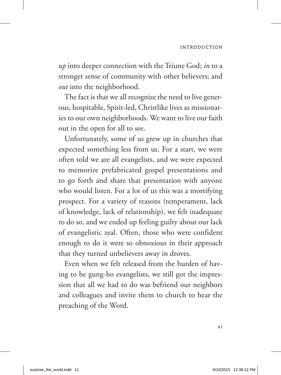*up* into deeper connection with the Triune God; *in* to a stronger sense of community with other believers; and *out* into the neighborhood.

The fact is that we all recognize the need to live generous, hospitable, Spirit-led, Christlike lives as missionaries to our own neighborhoods. We want to live our faith out in the open for all to see.

Unfortunately, some of us grew up in churches that expected something less from us. For a start, we were often told we are all evangelists, and we were expected to memorize prefabricated gospel presentations and to go forth and share that presentation with anyone who would listen. For a lot of us this was a mortifying prospect. For a variety of reasons (temperament, lack of knowledge, lack of relationship), we felt inadequate to do so, and we ended up feeling guilty about our lack of evangelistic zeal. Often, those who were confident enough to do it were so obnoxious in their approach that they turned unbelievers away in droves.

Even when we felt released from the burden of having to be gung-ho evangelists, we still got the impression that all we had to do was befriend our neighbors and colleagues and invite them to church to hear the preaching of the Word.

x i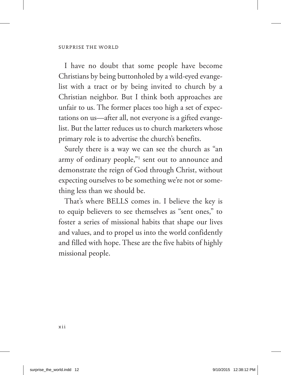#### SURPRISE THE WORLD

I have no doubt that some people have become Christians by being buttonholed by a wild-eyed evangelist with a tract or by being invited to church by a Christian neighbor. But I think both approaches are unfair to us. The former places too high a set of expectations on us—after all, not everyone is a gifted evangelist. But the latter reduces us to church marketers whose primary role is to advertise the church's benefits.

Surely there is a way we can see the church as "an army of ordinary people,"<sup>1</sup> sent out to announce and demonstrate the reign of God through Christ, without expecting ourselves to be something we're not or something less than we should be.

That's where BELLS comes in. I believe the key is to equip believers to see themselves as "sent ones," to foster a series of missional habits that shape our lives and values, and to propel us into the world confidently and filled with hope. These are the five habits of highly missional people.

xii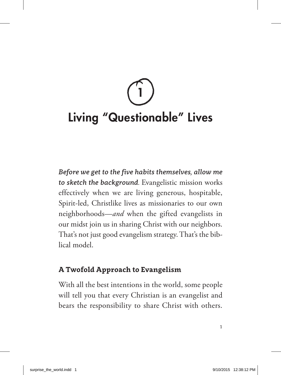

*Before we get to the five habits themselves, allow me to sketch the background.* Evangelistic mission works effectively when we are living generous, hospitable, Spirit- led, Christlike lives as missionaries to our own neighborhoods—*and* when the gifted evangelists in our midst join us in sharing Christ with our neighbors. That's not just good evangelism strategy. That's the biblical model.

# **A Twofold Approach to Evangelism**

With all the best intentions in the world, some people will tell you that every Christian is an evangelist and bears the responsibility to share Christ with others.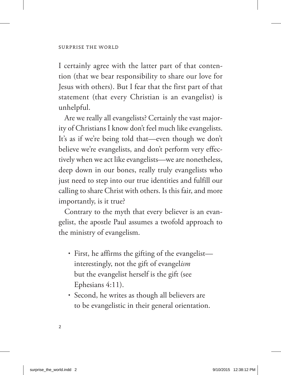I certainly agree with the latter part of that contention (that we bear responsibility to share our love for Jesus with others). But I fear that the first part of that statement (that every Christian is an evangelist) is unhelpful.

Are we really all evangelists? Certainly the vast majority of Christians I know don't feel much like evangelists. It's as if we're being told that— even though we don't believe we're evangelists, and don't perform very effectively when we act like evangelists—we are nonetheless, deep down in our bones, really truly evangelists who just need to step into our true identities and fulfill our calling to share Christ with others. Is this fair, and more importantly, is it true?

Contrary to the myth that every believer is an evangelist, the apostle Paul assumes a twofold approach to the ministry of evangelism.

- First, he affirms the gifting of the evangelist interestingly, not the gift of evangel*ism* but the evangelist herself is the gift (see Ephesians 4:11).
- Second, he writes as though all believers are to be evangelistic in their general orientation.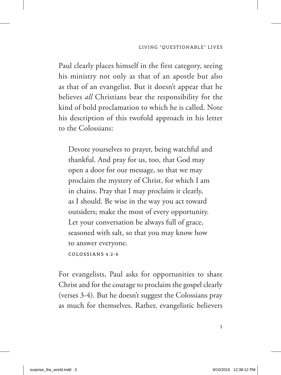Paul clearly places himself in the first category, seeing his ministry not only as that of an apostle but also as that of an evangelist. But it doesn't appear that he believes *all* Christians bear the responsibility for the kind of bold proclamation to which he is called. Note his description of this twofold approach in his letter to the Colossians:

Devote yourselves to prayer, being watchful and thankful. And pray for us, too, that God may open a door for our message, so that we may proclaim the mystery of Christ, for which I am in chains. Pray that I may proclaim it clearly, as I should. Be wise in the way you act toward outsiders; make the most of every opportunity. Let your conversation be always full of grace, seasoned with salt, so that you may know how to answer everyone. COLOSSIANS 4:2-6

For evangelists, Paul asks for opportunities to share Christ and for the courage to proclaim the gospel clearly (verses 3-4). But he doesn't suggest the Colossians pray as much for themselves. Rather, evangelistic believers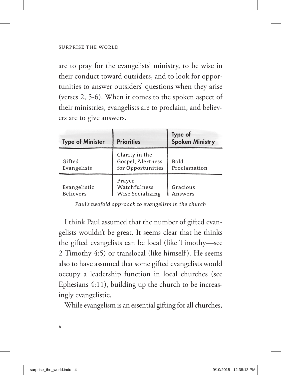are to pray for the evangelists' ministry, to be wise in their conduct toward outsiders, and to look for opportunities to answer outsiders' questions when they arise (verses 2, 5-6). When it comes to the spoken aspect of their ministries, evangelists are to proclaim, and believers are to give answers.

| <b>Type of Minister</b>          | <b>Priorities</b>                                        | <b>Type of</b><br><b>Spoken Ministry</b> |
|----------------------------------|----------------------------------------------------------|------------------------------------------|
| Gifted<br>Evangelists            | Clarity in the<br>Gospel; Alertness<br>for Opportunities | <b>Bold</b><br>Proclamation              |
| Evangelistic<br><b>Believers</b> | Prayer,<br>Watchfulness,<br>Wise Socializing             | Gracious<br>Answers                      |

*Paul's twofold approach to evangelism in the church*

I think Paul assumed that the number of gifted evangelists wouldn't be great. It seems clear that he thinks the gifted evangelists can be local (like Timothy—see 2 Timothy 4:5) or translocal (like himself). He seems also to have assumed that some gifted evangelists would occupy a leadership function in local churches (see Ephesians 4:11), building up the church to be increasingly evangelistic.

While evangelism is an essential gifting for all churches,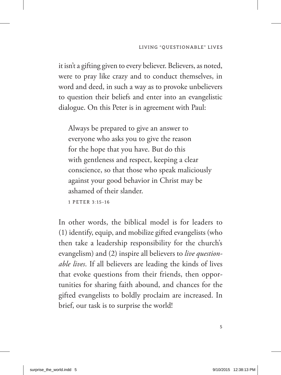it isn't a gifting given to every believer. Believers, as noted, were to pray like crazy and to conduct themselves, in word and deed, in such a way as to provoke unbelievers to question their beliefs and enter into an evangelistic dialogue. On this Peter is in agreement with Paul:

Always be prepared to give an answer to everyone who asks you to give the reason for the hope that you have. But do this with gentleness and respect, keeping a clear conscience, so that those who speak maliciously against your good behavior in Christ may be ashamed of their slander.

1 PETER 3:15-16

In other words, the biblical model is for leaders to (1) identify, equip, and mobilize gifted evangelists (who then take a leadership responsibility for the church's evangelism) and (2) inspire all believers to *live questionable lives*. If all believers are leading the kinds of lives that evoke questions from their friends, then opportunities for sharing faith abound, and chances for the gifted evangelists to boldly proclaim are increased. In brief, our task is to surprise the world!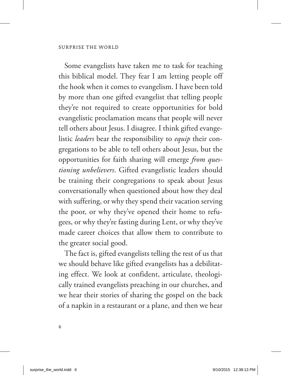Some evangelists have taken me to task for teaching this biblical model. They fear I am letting people off the hook when it comes to evangelism. I have been told by more than one gifted evangelist that telling people they're not required to create opportunities for bold evangelistic proclamation means that people will never tell others about Jesus. I disagree. I think gifted evangelistic *leaders* bear the responsibility to *equip* their congregations to be able to tell others about Jesus, but the opportunities for faith sharing will emerge *from questioning unbelievers*. Gifted evangelistic leaders should be training their congregations to speak about Jesus conversationally when questioned about how they deal with suffering, or why they spend their vacation serving the poor, or why they've opened their home to refugees, or why they're fasting during Lent, or why they've made career choices that allow them to contribute to the greater social good.

The fact is, gifted evangelists telling the rest of us that we should behave like gifted evangelists has a debilitating effect. We look at confident, articulate, theologically trained evangelists preaching in our churches, and we hear their stories of sharing the gospel on the back of a napkin in a restaurant or a plane, and then we hear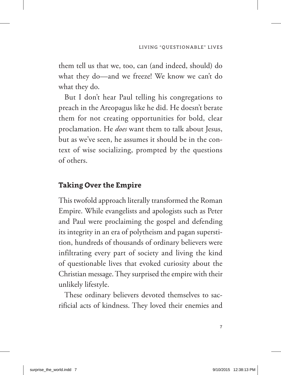them tell us that we, too, can (and indeed, should) do what they do—and we freeze! We know we can't do what they do.

But I don't hear Paul telling his congregations to preach in the Areopagus like he did. He doesn't berate them for not creating opportunities for bold, clear proclamation. He *does* want them to talk about Jesus, but as we've seen, he assumes it should be in the context of wise socializing, prompted by the questions of others.

## **Taking Over the Empire**

This twofold approach literally transformed the Roman Empire. While evangelists and apologists such as Peter and Paul were proclaiming the gospel and defending its integrity in an era of polytheism and pagan superstition, hundreds of thousands of ordinary believers were infiltrating every part of society and living the kind of questionable lives that evoked curiosity about the Christian message. They surprised the empire with their unlikely lifestyle.

These ordinary believers devoted themselves to sacrificial acts of kindness. They loved their enemies and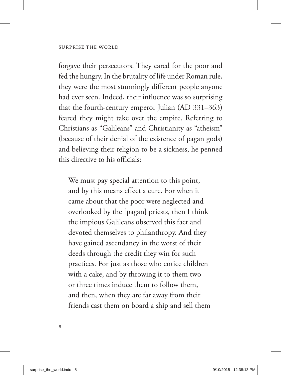forgave their persecutors. They cared for the poor and fed the hungry. In the brutality of life under Roman rule, they were the most stunningly different people anyone had ever seen. Indeed, their influence was so surprising that the fourth-century emperor Julian (AD 331–363) feared they might take over the empire. Referring to Christians as "Galileans" and Christianity as "atheism" (because of their denial of the existence of pagan gods) and believing their religion to be a sickness, he penned this directive to his officials:

We must pay special attention to this point, and by this means effect a cure. For when it came about that the poor were neglected and overlooked by the [pagan] priests, then I think the impious Galileans observed this fact and devoted themselves to philanthropy. And they have gained ascendancy in the worst of their deeds through the credit they win for such practices. For just as those who entice children with a cake, and by throwing it to them two or three times induce them to follow them, and then, when they are far away from their friends cast them on board a ship and sell them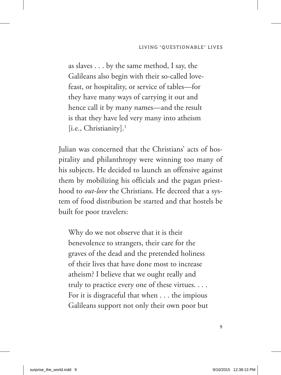as slaves . . . by the same method, I say, the Galileans also begin with their so-called lovefeast, or hospitality, or service of tables—for they have many ways of carrying it out and hence call it by many names—and the result is that they have led very many into atheism [i.e., Christianity]. $<sup>1</sup>$ </sup>

Julian was concerned that the Christians' acts of hospitality and philanthropy were winning too many of his subjects. He decided to launch an offensive against them by mobilizing his officials and the pagan priesthood to *out-love* the Christians. He decreed that a system of food distribution be started and that hostels be built for poor travelers:

Why do we not observe that it is their benevolence to strangers, their care for the graves of the dead and the pretended holiness of their lives that have done most to increase atheism? I believe that we ought really and truly to practice every one of these virtues. . . . For it is disgraceful that when . . . the impious Galileans support not only their own poor but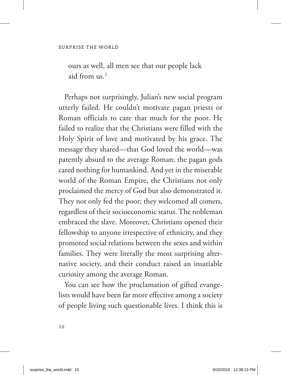ours as well, all men see that our people lack aid from us.2

Perhaps not surprisingly, Julian's new social program utterly failed. He couldn't motivate pagan priests or Roman officials to care that much for the poor. He failed to realize that the Christians were filled with the Holy Spirit of love and motivated by his grace. The message they shared—that God loved the world—was patently absurd to the average Roman; the pagan gods cared nothing for humankind. And yet in the miserable world of the Roman Empire, the Christians not only proclaimed the mercy of God but also demonstrated it. They not only fed the poor; they welcomed all comers, regardless of their socioeconomic status. The nobleman embraced the slave. Moreover, Christians opened their fellowship to anyone irrespective of ethnicity, and they promoted social relations between the sexes and within families. They were literally the most surprising alternative society, and their conduct raised an insatiable curiosity among the average Roman.

You can see how the proclamation of gifted evangelists would have been far more effective among a society of people living such questionable lives. I think this is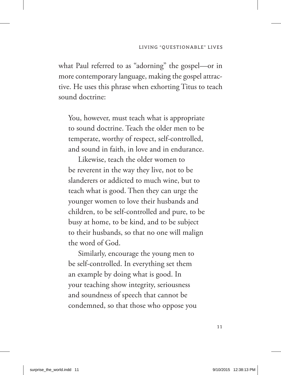what Paul referred to as "adorning" the gospel—or in more contemporary language, making the gospel attractive. He uses this phrase when exhorting Titus to teach sound doctrine:

You, however, must teach what is appropriate to sound doctrine. Teach the older men to be temperate, worthy of respect, self-controlled, and sound in faith, in love and in endurance.

Likewise, teach the older women to be reverent in the way they live, not to be slanderers or addicted to much wine, but to teach what is good. Then they can urge the younger women to love their husbands and children, to be self-controlled and pure, to be busy at home, to be kind, and to be subject to their husbands, so that no one will malign the word of God.

Similarly, encourage the young men to be self-controlled. In everything set them an example by doing what is good. In your teaching show integrity, seriousness and soundness of speech that cannot be condemned, so that those who oppose you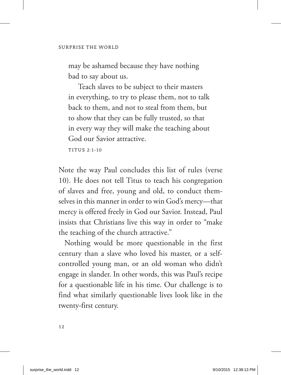may be ashamed because they have nothing bad to say about us.

Teach slaves to be subject to their masters in everything, to try to please them, not to talk back to them, and not to steal from them, but to show that they can be fully trusted, so that in every way they will make the teaching about God our Savior attractive.

TITUS 2:1-10

Note the way Paul concludes this list of rules (verse 10). He does not tell Titus to teach his congregation of slaves and free, young and old, to conduct themselves in this manner in order to win God's mercy—that mercy is offered freely in God our Savior. Instead, Paul insists that Christians live this way in order to "make the teaching of the church attractive."

Nothing would be more questionable in the first century than a slave who loved his master, or a selfcontrolled young man, or an old woman who didn't engage in slander. In other words, this was Paul's recipe for a questionable life in his time. Our challenge is to find what similarly questionable lives look like in the twenty-first century.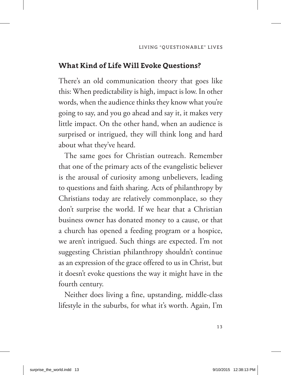### **What Kind of Life Will Evoke Questions?**

There's an old communication theory that goes like this: When predictability is high, impact is low. In other words, when the audience thinks they know what you're going to say, and you go ahead and say it, it makes very little impact. On the other hand, when an audience is surprised or intrigued, they will think long and hard about what they've heard.

The same goes for Christian outreach. Remember that one of the primary acts of the evangelistic believer is the arousal of curiosity among unbelievers, leading to questions and faith sharing. Acts of philanthropy by Christians today are relatively commonplace, so they don't surprise the world. If we hear that a Christian business owner has donated money to a cause, or that a church has opened a feeding program or a hospice, we aren't intrigued. Such things are expected. I'm not suggesting Christian philanthropy shouldn't continue as an expression of the grace offered to us in Christ, but it doesn't evoke questions the way it might have in the fourth century.

Neither does living a fine, upstanding, middle-class lifestyle in the suburbs, for what it's worth. Again, I'm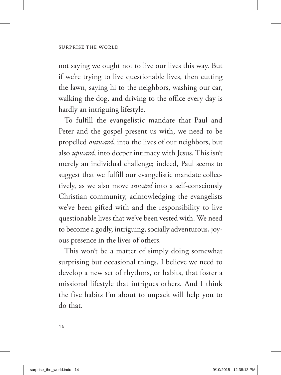not saying we ought not to live our lives this way. But if we're trying to live questionable lives, then cutting the lawn, saying hi to the neighbors, washing our car, walking the dog, and driving to the office every day is hardly an intriguing lifestyle.

To fulfill the evangelistic mandate that Paul and Peter and the gospel present us with, we need to be propelled *outward*, into the lives of our neighbors, but also *upward*, into deeper intimacy with Jesus. This isn't merely an individual challenge; indeed, Paul seems to suggest that we fulfill our evangelistic mandate collectively, as we also move *inward* into a self-consciously Christian community, acknowledging the evangelists we've been gifted with and the responsibility to live questionable lives that we've been vested with. We need to become a godly, intriguing, socially adventurous, joyous presence in the lives of others.

This won't be a matter of simply doing somewhat surprising but occasional things. I believe we need to develop a new set of rhythms, or habits, that foster a missional lifestyle that intrigues others. And I think the five habits I'm about to unpack will help you to do that.